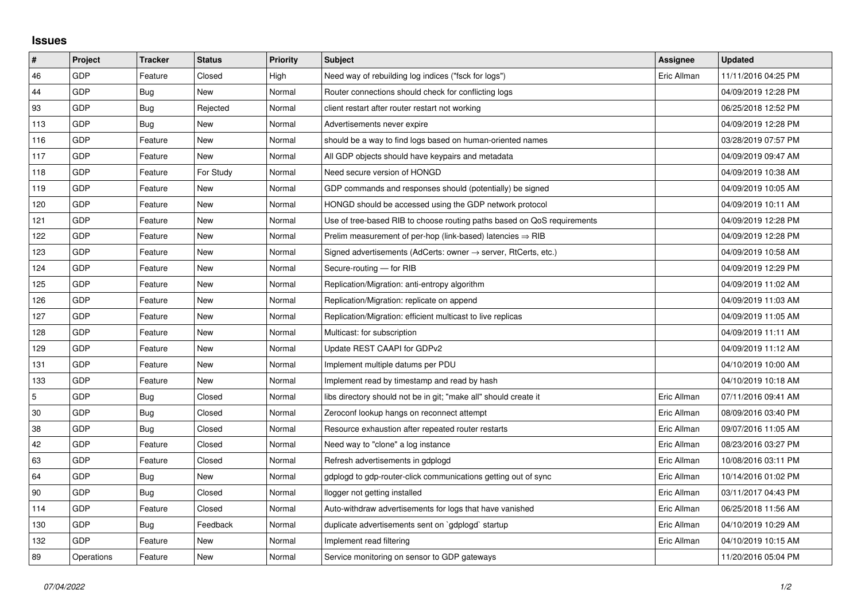## **Issues**

| $\sharp$       | Project    | <b>Tracker</b> | <b>Status</b> | <b>Priority</b> | <b>Subject</b>                                                             | Assignee    | <b>Updated</b>      |
|----------------|------------|----------------|---------------|-----------------|----------------------------------------------------------------------------|-------------|---------------------|
| 46             | GDP        | Feature        | Closed        | High            | Need way of rebuilding log indices ("fsck for logs")                       | Eric Allman | 11/11/2016 04:25 PM |
| 44             | GDP        | Bug            | New           | Normal          | Router connections should check for conflicting logs                       |             | 04/09/2019 12:28 PM |
| 93             | GDP        | Bug            | Rejected      | Normal          | client restart after router restart not working                            |             | 06/25/2018 12:52 PM |
| 113            | GDP        | Bug            | New           | Normal          | Advertisements never expire                                                |             | 04/09/2019 12:28 PM |
| 116            | GDP        | Feature        | New           | Normal          | should be a way to find logs based on human-oriented names                 |             | 03/28/2019 07:57 PM |
| 117            | GDP        | Feature        | New           | Normal          | All GDP objects should have keypairs and metadata                          |             | 04/09/2019 09:47 AM |
| 118            | GDP        | Feature        | For Study     | Normal          | Need secure version of HONGD                                               |             | 04/09/2019 10:38 AM |
| 119            | GDP        | Feature        | <b>New</b>    | Normal          | GDP commands and responses should (potentially) be signed                  |             | 04/09/2019 10:05 AM |
| 120            | GDP        | Feature        | New           | Normal          | HONGD should be accessed using the GDP network protocol                    |             | 04/09/2019 10:11 AM |
| 121            | GDP        | Feature        | New           | Normal          | Use of tree-based RIB to choose routing paths based on QoS requirements    |             | 04/09/2019 12:28 PM |
| 122            | GDP        | Feature        | New           | Normal          | Prelim measurement of per-hop (link-based) latencies $\Rightarrow$ RIB     |             | 04/09/2019 12:28 PM |
| 123            | GDP        | Feature        | New           | Normal          | Signed advertisements (AdCerts: owner $\rightarrow$ server, RtCerts, etc.) |             | 04/09/2019 10:58 AM |
| 124            | GDP        | Feature        | <b>New</b>    | Normal          | Secure-routing - for RIB                                                   |             | 04/09/2019 12:29 PM |
| 125            | GDP        | Feature        | New           | Normal          | Replication/Migration: anti-entropy algorithm                              |             | 04/09/2019 11:02 AM |
| 126            | GDP        | Feature        | New           | Normal          | Replication/Migration: replicate on append                                 |             | 04/09/2019 11:03 AM |
| 127            | GDP        | Feature        | New           | Normal          | Replication/Migration: efficient multicast to live replicas                |             | 04/09/2019 11:05 AM |
| 128            | GDP        | Feature        | New           | Normal          | Multicast: for subscription                                                |             | 04/09/2019 11:11 AM |
| 129            | GDP        | Feature        | New           | Normal          | Update REST CAAPI for GDPv2                                                |             | 04/09/2019 11:12 AM |
| 131            | GDP        | Feature        | New           | Normal          | Implement multiple datums per PDU                                          |             | 04/10/2019 10:00 AM |
| 133            | GDP        | Feature        | New           | Normal          | Implement read by timestamp and read by hash                               |             | 04/10/2019 10:18 AM |
| $\overline{5}$ | GDP        | Bug            | Closed        | Normal          | libs directory should not be in git; "make all" should create it           | Eric Allman | 07/11/2016 09:41 AM |
| 30             | GDP        | Bug            | Closed        | Normal          | Zeroconf lookup hangs on reconnect attempt                                 | Eric Allman | 08/09/2016 03:40 PM |
| 38             | GDP        | Bug            | Closed        | Normal          | Resource exhaustion after repeated router restarts                         | Eric Allman | 09/07/2016 11:05 AM |
| 42             | GDP        | Feature        | Closed        | Normal          | Need way to "clone" a log instance                                         | Eric Allman | 08/23/2016 03:27 PM |
| 63             | GDP        | Feature        | Closed        | Normal          | Refresh advertisements in gdplogd                                          | Eric Allman | 10/08/2016 03:11 PM |
| 64             | GDP        | Bug            | New           | Normal          | gdplogd to gdp-router-click communications getting out of sync             | Eric Allman | 10/14/2016 01:02 PM |
| 90             | GDP        | Bug            | Closed        | Normal          | llogger not getting installed                                              | Eric Allman | 03/11/2017 04:43 PM |
| 114            | GDP        | Feature        | Closed        | Normal          | Auto-withdraw advertisements for logs that have vanished                   | Eric Allman | 06/25/2018 11:56 AM |
| 130            | GDP        | Bug            | Feedback      | Normal          | duplicate advertisements sent on `gdplogd` startup                         | Eric Allman | 04/10/2019 10:29 AM |
| 132            | GDP        | Feature        | New           | Normal          | Implement read filtering                                                   | Eric Allman | 04/10/2019 10:15 AM |
| 89             | Operations | Feature        | New           | Normal          | Service monitoring on sensor to GDP gateways                               |             | 11/20/2016 05:04 PM |